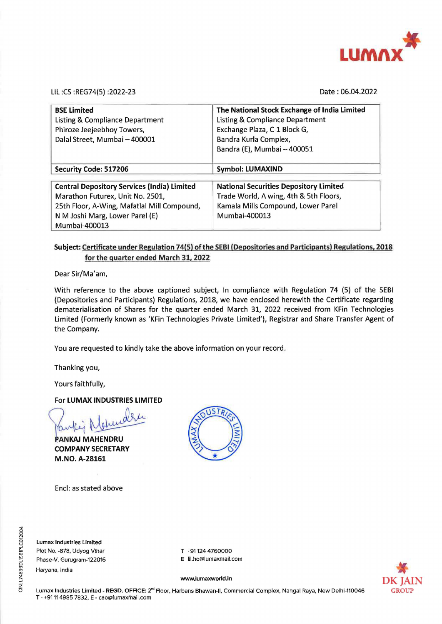

LIL :CS :REG74(5) :2022-23

Date : 06.04.2022

| <b>BSE Limited</b><br><b>Listing &amp; Compliance Department</b><br>Phiroze Jeejeebhoy Towers,<br>Dalal Street, Mumbai - 400001 | The National Stock Exchange of India Limited<br><b>Listing &amp; Compliance Department</b><br>Exchange Plaza, C-1 Block G,<br>Bandra Kurla Complex,<br>Bandra (E), Mumbai - 400051 |
|---------------------------------------------------------------------------------------------------------------------------------|------------------------------------------------------------------------------------------------------------------------------------------------------------------------------------|
| Security Code: 517206                                                                                                           | <b>Symbol: LUMAXIND</b>                                                                                                                                                            |
| <b>Central Depository Services (India) Limited</b>                                                                              | <b>National Securities Depository Limited</b>                                                                                                                                      |
| Marathon Futurex, Unit No. 2501,                                                                                                | Trade World, A wing, 4th & 5th Floors,                                                                                                                                             |
| 25th Floor, A-Wing, Mafatlal Mill Compound,                                                                                     | Kamala Mills Compound, Lower Parel                                                                                                                                                 |
| N M Joshi Marg, Lower Parel (E)                                                                                                 | Mumbai-400013                                                                                                                                                                      |
| Mumbai-400013                                                                                                                   |                                                                                                                                                                                    |

## **Subject: Certificate under Regulation 74(5) of the SEBI (Depositories and Participants) Regulations, 2018 for the quarter ended March 31, 2022**

Dear Sir/Ma'am,

With reference to the above captioned subject, In compliance with Regulation 74 (5) of the SEBI (Depositories and Participants) Regulations, 2018, we have enclosed herewith the Certificate regarding dematerialisation of Shares for the quarter ended March 31, 2022 received from KFin Technologies Limited (Formerly known as 'KFin Technologies Private Limited'), Registrar and Share Transfer Agent of the Company.

You are requested to kindly take the above information on your record .

Thanking you,

Yours faithfully,

## For **LUMAX INDUSTRIES LIMITED**

or LUMAX INDUSTRIES LIMITED<br>awley Naturally

**COMPANY M.NO. A-28161** 

Encl: as stated above



**Lumax Industries Limited**  Plot No. -878, Udyog Vihar Phase-V, Gurugram-122016 Haryana, India

E lil.ho@lumaxmail.com

T +91124 4760000



**www.lumaxworld.in**  Lumax Industries Limited - **REGD.** OFFICE: 2"" Floor, Harbans Bhawan-11, Commercial Complex, Nangal Raya, New Delhi-110046 T - +9111 4985 7832, E - cao@lumaxmail.com

08204 <sup>~</sup>Cl. ro 01 ::; CIN: L74899D